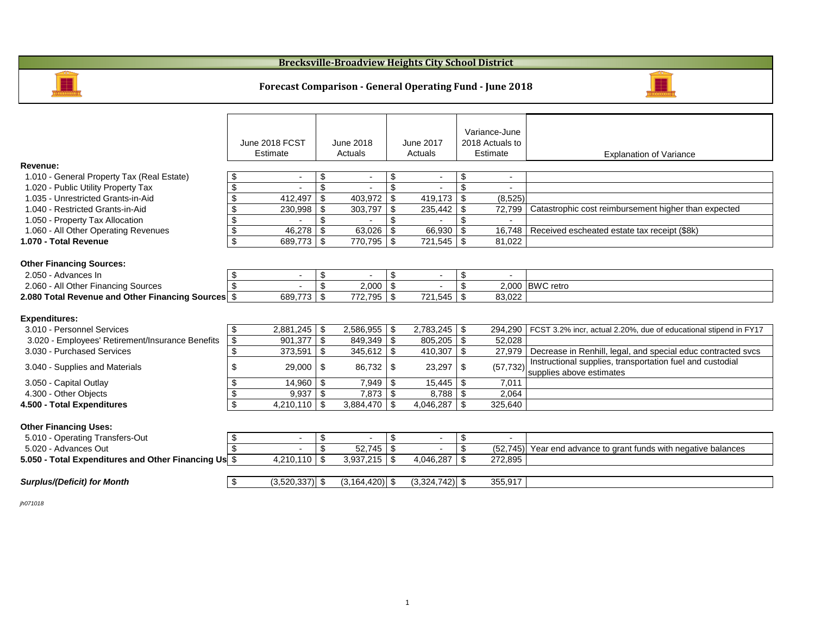|                                                         |                                                          | June 2018 FCST<br><b>Estimate</b> |                            | <b>June 2018</b><br>Actuals |                            | <b>June 2017</b><br><b>Actuals</b> |                                  | Variance-June<br>2018 Actuals to<br>Estimate | <b>Explanation of Variance</b>                                                        |
|---------------------------------------------------------|----------------------------------------------------------|-----------------------------------|----------------------------|-----------------------------|----------------------------|------------------------------------|----------------------------------|----------------------------------------------|---------------------------------------------------------------------------------------|
| Revenue:                                                |                                                          |                                   |                            |                             |                            |                                    |                                  |                                              |                                                                                       |
| 1.010 - General Property Tax (Real Estate)              | \$                                                       | $\overline{\phantom{a}}$          | \$                         | $\blacksquare$              | $\boldsymbol{\mathsf{S}}$  |                                    | $\boldsymbol{\mathcal{L}}$       | $\overline{\phantom{a}}$                     |                                                                                       |
| 1.020 - Public Utility Property Tax                     | $\boldsymbol{\mathsf{S}}$                                |                                   | $\boldsymbol{\mathsf{\$}}$ |                             | $\mathfrak{S}$             |                                    |                                  |                                              |                                                                                       |
| 1.035 - Unrestricted Grants-in-Aid                      | $\boldsymbol{\mathsf{S}}$                                | 412,497                           | $\boldsymbol{\mathsf{S}}$  | 403,972                     | $\mathfrak{S}$             | 419,173                            | $\boldsymbol{\mathcal{S}}$       | (8, 525)                                     |                                                                                       |
| 1.040 - Restricted Grants-in-Aid                        | $\boldsymbol{\mathsf{S}}$                                | 230,998                           | $\boldsymbol{\mathsf{S}}$  | 303,797                     | $\boldsymbol{\mathcal{S}}$ | 235,442                            | $\boldsymbol{\mathsf{S}}$        | 72,799                                       | Catastrophic cost reimbursement higher than expected                                  |
| 1.050 - Property Tax Allocation                         | $\boldsymbol{\mathsf{S}}$                                |                                   | $\boldsymbol{\mathsf{S}}$  |                             | $\$\$                      |                                    | $\mathfrak{L}$                   |                                              |                                                                                       |
| 1.060 - All Other Operating Revenues                    | $\boldsymbol{\theta}$                                    | 46,278                            | $\boldsymbol{\mathsf{\$}}$ | 63,026                      | $\mathfrak{S}$             | 66,930                             | \$                               | 16,748                                       | Received escheated estate tax receipt (\$8k)                                          |
| 1.070 - Total Revenue                                   | $\boldsymbol{\mathsf{S}}$                                | 689,773                           | $\mathfrak{F}$             | 770,795                     | $\boldsymbol{\mathsf{S}}$  | 721,545                            | $\boldsymbol{\mathcal{S}}$       | 81,022                                       |                                                                                       |
| <b>Other Financing Sources:</b><br>2.050 - Advances In  | \$                                                       | $\overline{\phantom{a}}$          | $\boldsymbol{\mathsf{\$}}$ |                             | \$                         | $\blacksquare$                     | $\boldsymbol{\mathcal{L}}$       |                                              |                                                                                       |
| 2.060 - All Other Financing Sources                     | $\mathfrak{S}$                                           |                                   | $\boldsymbol{\mathsf{\$}}$ | 2,000                       | $\mathfrak{L}$             |                                    | $\boldsymbol{\mathsf{S}}$        |                                              | 2,000 BWC retro                                                                       |
| 2.080 Total Revenue and Other Financing Sources \$      |                                                          | 689,773                           | $\mathfrak{F}$             | 772,795                     | $\boldsymbol{\mathcal{S}}$ | 721,545                            | $\boldsymbol{\mathcal{S}}$       | 83,022                                       |                                                                                       |
| <b>Expenditures:</b>                                    |                                                          |                                   |                            |                             |                            |                                    |                                  |                                              |                                                                                       |
| 3.010 - Personnel Services                              | \$                                                       | 2,881,245                         | $\boldsymbol{\mathcal{F}}$ | 2,586,955                   | \$                         | 2,783,245                          | $\boldsymbol{\mathcal{L}}$       | 294,290                                      | FCST 3.2% incr, actual 2.20%, due of educational stipend in                           |
| 3.020 - Employees' Retirement/Insurance Benefits        | $\boldsymbol{\mathsf{\$}}$                               | 901,377                           | \$                         | 849,349                     | $\mathfrak{F}$             | $805,205$ \\$                      |                                  | 52,028                                       |                                                                                       |
| 3.030 - Purchased Services                              | $\boldsymbol{\theta}$                                    | 373,591                           | $\boldsymbol{\mathcal{F}}$ | 345,612                     | $\boldsymbol{\mathsf{S}}$  | 410,307                            | $\boldsymbol{\mathcal{S}}$       | 27,979                                       | Decrease in Renhill, legal, and special educ contracted                               |
| 3.040 - Supplies and Materials                          | \$                                                       | 29,000                            | $\boldsymbol{\mathsf{\$}}$ | 86,732                      | \$                         | 23,297                             | \$                               | (57, 732)                                    | Instructional supplies, transportation fuel and custodial<br>supplies above estimates |
| 3.050 - Capital Outlay                                  | $\boldsymbol{\mathsf{\$}}$                               | $14,960$   \$                     |                            | 7,949                       | \$                         | 15,445                             | \$                               | 7,011                                        |                                                                                       |
| 4.300 - Other Objects                                   | $\boldsymbol{\mathsf{S}}$                                | 9,937                             | \$                         | 7,873                       | $\mathfrak{F}$             | 8,788                              | \$                               | 2,064                                        |                                                                                       |
| 4.500 - Total Expenditures                              | $\overline{\mathbf{S}}$                                  | $4,210,110$ \\$                   |                            | 3,884,470                   | \$                         | 4,046,287                          | \$                               | 325,640                                      |                                                                                       |
| <b>Other Financing Uses:</b>                            |                                                          |                                   |                            |                             |                            |                                    |                                  |                                              |                                                                                       |
| 5.010 - Operating Transfers-Out<br>5.020 - Advances Out | $\boldsymbol{\mathsf{\$}}$<br>$\boldsymbol{\mathsf{\$}}$ |                                   | \$<br>\$                   | $52,745$ \\$                | $\boldsymbol{\mathsf{S}}$  |                                    | $\boldsymbol{\mathsf{\$}}$<br>\$ |                                              | Year end advance to grant funds with negative balance                                 |
|                                                         |                                                          |                                   |                            |                             |                            |                                    |                                  | (52, 745)                                    |                                                                                       |
| 5.050 - Total Expenditures and Other Financing Us \$    |                                                          | 4,210,110                         | \$                         | $3,937,215$ \$              |                            | 4,046,287                          | \$                               | 272,895                                      |                                                                                       |
| <b>Surplus/(Deficit) for Month</b>                      | $\sqrt{2}$                                               | $(3,520,337)$ \$                  |                            | $(3,164,420)$ \$            |                            | $(3,324,742)$ \$                   |                                  | 355,917                                      |                                                                                       |

5.020 - Advances Out \$ - \$ 52,745 \$ - \$ (52,745) Year end advance to grant funds with negative balances

*jh071018*

## **Forecast Comparison - General Operating Fund - June 2018**

## **Brecksville-Broadview Heights City School District**





### n of Variance

lue of educational stipend in FY17

3.039 special educ contracted svcs<br>Tration fuel and custodial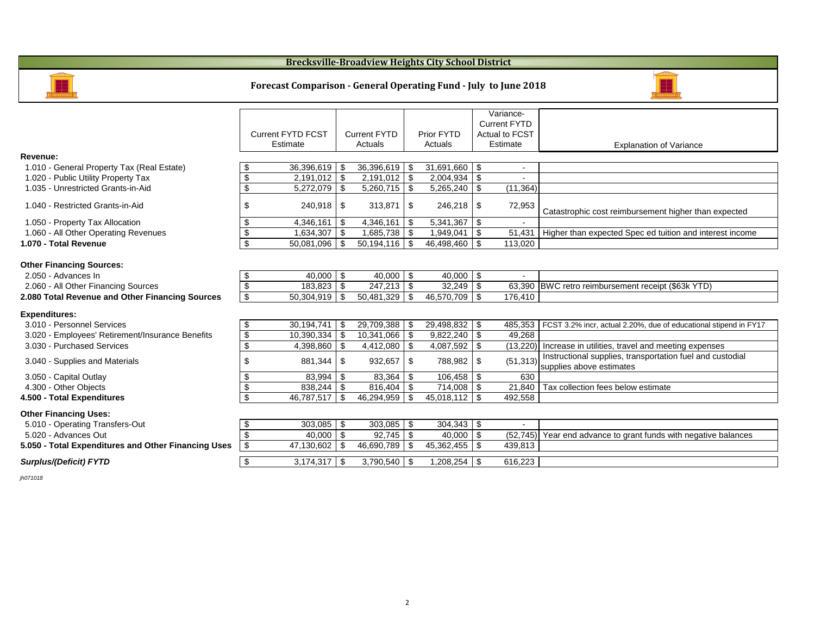|                                                     |                                             |                                          |                                             | Variance-                               |                                                                   |
|-----------------------------------------------------|---------------------------------------------|------------------------------------------|---------------------------------------------|-----------------------------------------|-------------------------------------------------------------------|
|                                                     |                                             |                                          |                                             | <b>Current FYTD</b>                     |                                                                   |
|                                                     | <b>Current FYTD FCST</b>                    | <b>Current FYTD</b>                      | <b>Prior FYTD</b>                           | <b>Actual to FCST</b>                   |                                                                   |
|                                                     | <b>Estimate</b>                             | Actuals                                  | Actuals                                     | Estimate                                | Explanation of \                                                  |
| <b>Revenue:</b>                                     |                                             |                                          |                                             |                                         |                                                                   |
| 1.010 - General Property Tax (Real Estate)          | 36,396,619<br>\$                            | 36,396,619<br>\$                         | $31,691,660$   \$<br>\$                     | $\blacksquare$                          |                                                                   |
| 1.020 - Public Utility Property Tax                 | $\boldsymbol{\theta}$<br>2,191,012          | \$<br>2,191,012                          | \$                                          |                                         |                                                                   |
| 1.035 - Unrestricted Grants-in-Aid                  | $\boldsymbol{\mathsf{\$}}$<br>5,272,079     | \$<br>5,260,715                          | \$<br>$5,265,240$ \$                        | (11, 364)                               |                                                                   |
| 1.040 - Restricted Grants-in-Aid                    | \$<br>240,918                               | $\boldsymbol{\mathsf{\$}}$<br>313,871    | \$<br>246,218                               | \$<br>72,953                            | Catastrophic cost reimbursement h                                 |
| 1.050 - Property Tax Allocation                     | $\boldsymbol{\theta}$<br>4,346,161          | $\boldsymbol{\mathcal{F}}$<br>4,346,161  | \$                                          |                                         |                                                                   |
| 1.060 - All Other Operating Revenues                | $\boldsymbol{\theta}$<br>1,634,307          | 1,685,738<br>\$                          | $1,949,041$ \$<br>\$                        | 51,431                                  | Higher than expected Spec ed tuitie                               |
| 1.070 - Total Revenue                               | $\boldsymbol{\mathsf{S}}$<br>50,081,096     | \$<br>50,194,116                         | $\mathfrak{S}$<br>$46,498,460$ \ \$         | 113,020                                 |                                                                   |
| <b>Other Financing Sources:</b>                     |                                             |                                          |                                             |                                         |                                                                   |
| 2.050 - Advances In                                 | 40,000<br>\$                                | $\sqrt{3}$<br>40,000                     | $\boldsymbol{\mathsf{\$}}$<br>$40,000$ \ \$ | $\blacksquare$                          |                                                                   |
| 2.060 - All Other Financing Sources                 | $\overline{\mathbf{G}}$<br>183,823          | $\boldsymbol{\mathcal{F}}$<br>247,213    | \$                                          |                                         | 63,390 BWC retro reimbursement receipt (                          |
| 2.080 Total Revenue and Other Financing Sources     | $\boldsymbol{\mathsf{S}}$<br>50,304,919     | \$<br>50,481,329                         | \$<br>$46,570,709$ \ \$                     | 176,410                                 |                                                                   |
| <b>Expenditures:</b>                                |                                             |                                          |                                             |                                         |                                                                   |
| 3.010 - Personnel Services                          | 30,194,741<br>$\boldsymbol{\mathsf{\$}}$    | 29,709,388<br>$\boldsymbol{\mathcal{F}}$ | $29,498,832$ \$<br>\$                       | 485,353                                 | FCST 3.2% incr, actual 2.20%, due of                              |
| 3.020 - Employees' Retirement/Insurance Benefits    | $\overline{\mathbf{G}}$<br>10,390,334       | \$<br>10,341,066                         | \$                                          | 49,268                                  |                                                                   |
| 3.030 - Purchased Services                          | $\boldsymbol{\theta}$<br>4,398,860          | $\boldsymbol{\mathcal{F}}$<br>4,412,080  | 4,087,592<br>\$                             | $\boldsymbol{\mathcal{F}}$<br>(13, 220) | Increase in utilities, travel and mee                             |
| 3.040 - Supplies and Materials                      | \$<br>881,344                               | $\boldsymbol{\mathcal{F}}$<br>932,657    | \$<br>788,982                               | (51, 313)<br>\$                         | Instructional supplies, transportatio<br>supplies above estimates |
| 3.050 - Capital Outlay                              | \$<br>83,994                                | \$<br>83,364                             | \$                                          | 630                                     |                                                                   |
| 4.300 - Other Objects                               | $\boldsymbol{\theta}$<br>838,244            | $\boldsymbol{\mathcal{F}}$<br>816,404    | $\boldsymbol{\mathcal{S}}$                  | 21,840                                  | Tax collection fees below estimate                                |
| 4.500 - Total Expenditures                          | $\overline{\mathbf{S}}$<br>46,787,517       | \$<br>46,294,959                         | \$<br>$45,018,112$   \$                     | 492,558                                 |                                                                   |
| <b>Other Financing Uses:</b>                        |                                             |                                          |                                             |                                         |                                                                   |
| 5.010 - Operating Transfers-Out                     | $303,085$ \$<br>\$                          |                                          |                                             |                                         |                                                                   |
| 5.020 - Advances Out                                | $\boldsymbol{\mathsf{\$}}$<br>$40,000$   \$ | 92,745                                   | $40,000$ \ \$<br>\$                         | (52, 745)                               | Year end advance to grant funds w                                 |
| 5.050 - Total Expenditures and Other Financing Uses | $\boldsymbol{\mathsf{\$}}$<br>47,130,602    | 46,690,789<br>\$                         | $45,362,455$ \\$<br>\$                      | 439,813                                 |                                                                   |
| <b>Surplus/(Deficit) FYTD</b>                       | $\boldsymbol{\mathsf{\$}}$<br>3,174,317     | $3,790,540$   \$<br>l \$                 | $1,208,254$ \$                              | 616,223                                 |                                                                   |
| jh071018                                            |                                             |                                          |                                             |                                         |                                                                   |
|                                                     |                                             |                                          |                                             |                                         |                                                                   |

## **Brecksville-Broadview Heights City School District**



### **Forecast Comparison - General Operating Fund - July to June 2018**



lanation of Variance

bursement higher than expected

Spec ed tuition and interest income

ent receipt (\$63k YTD)

20%, due of educational stipend in FY17

vel and meeting expenses ransportation fuel and custodial<br>es

rant funds with negative balances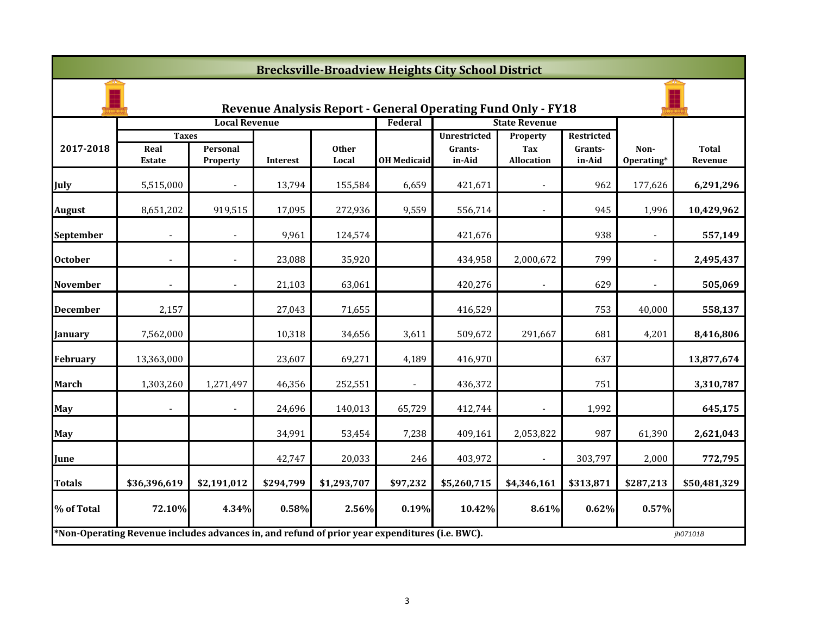|                 | <b>Brecksville-Broadview Heights City School District</b>                                                  |                             |           |                       |                    |                                                                     |                                             |                                        |                    |                         |  |
|-----------------|------------------------------------------------------------------------------------------------------------|-----------------------------|-----------|-----------------------|--------------------|---------------------------------------------------------------------|---------------------------------------------|----------------------------------------|--------------------|-------------------------|--|
|                 |                                                                                                            |                             |           |                       |                    | <b>Revenue Analysis Report - General Operating Fund Only - FY18</b> |                                             |                                        |                    |                         |  |
|                 |                                                                                                            | <b>Local Revenue</b>        |           |                       | Federal            |                                                                     | <b>State Revenue</b>                        |                                        |                    |                         |  |
| 2017-2018       | <b>Taxes</b><br>Real<br><b>Estate</b>                                                                      | Personal<br><b>Property</b> | Interest  | <b>Other</b><br>Local | <b>OH Medicaid</b> | <b>Unrestricted</b><br>Grants-<br>in-Aid                            | <b>Property</b><br>Tax<br><b>Allocation</b> | <b>Restricted</b><br>Grants-<br>in-Aid | Non-<br>Operating* | <b>Total</b><br>Revenue |  |
| <b>July</b>     | 5,515,000                                                                                                  |                             | 13,794    | 155,584               | 6,659              | 421,671                                                             |                                             | 962                                    | 177,626            | 6,291,296               |  |
| <b>August</b>   | 8,651,202                                                                                                  | 919,515                     | 17,095    | 272,936               | 9,559              | 556,714                                                             |                                             | 945                                    | 1,996              | 10,429,962              |  |
| September       |                                                                                                            |                             | 9,961     | 124,574               |                    | 421,676                                                             |                                             | 938                                    |                    | 557,149                 |  |
| <b>October</b>  |                                                                                                            |                             | 23,088    | 35,920                |                    | 434,958                                                             | 2,000,672                                   | 799                                    |                    | 2,495,437               |  |
| <b>November</b> | $\overline{\phantom{a}}$                                                                                   | $\overline{\phantom{a}}$    | 21,103    | 63,061                |                    | 420,276                                                             | $\blacksquare$                              | 629                                    | $\blacksquare$     | 505,069                 |  |
| <b>December</b> | 2,157                                                                                                      |                             | 27,043    | 71,655                |                    | 416,529                                                             |                                             | 753                                    | 40,000             | 558,137                 |  |
| <b>January</b>  | 7,562,000                                                                                                  |                             | 10,318    | 34,656                | 3,611              | 509,672                                                             | 291,667                                     | 681                                    | 4,201              | 8,416,806               |  |
| February        | 13,363,000                                                                                                 |                             | 23,607    | 69,271                | 4,189              | 416,970                                                             |                                             | 637                                    |                    | 13,877,674              |  |
| <b>March</b>    | 1,303,260                                                                                                  | 1,271,497                   | 46,356    | 252,551               | $\blacksquare$     | 436,372                                                             |                                             | 751                                    |                    | 3,310,787               |  |
| <b>May</b>      |                                                                                                            |                             | 24,696    | 140,013               | 65,729             | 412,744                                                             |                                             | 1,992                                  |                    | 645,175                 |  |
| <b>May</b>      |                                                                                                            |                             | 34,991    | 53,454                | 7,238              | 409,161                                                             | 2,053,822                                   | 987                                    | 61,390             | 2,621,043               |  |
| June            |                                                                                                            |                             | 42,747    | 20,033                | 246                | 403,972                                                             |                                             | 303,797                                | 2,000              | 772,795                 |  |
| <b>Totals</b>   | \$36,396,619                                                                                               | \$2,191,012                 | \$294,799 | \$1,293,707           | \$97,232           | \$5,260,715                                                         | \$4,346,161                                 | \$313,871                              | \$287,213          | \$50,481,329            |  |
| % of Total      | 72.10%                                                                                                     | 4.34%                       | 0.58%     | 2.56%                 | 0.19%              | 10.42%                                                              | 8.61%                                       | 0.62%                                  | 0.57%              |                         |  |
|                 | *Non-Operating Revenue includes advances in, and refund of prior year expenditures (i.e. BWC).<br>jh071018 |                             |           |                       |                    |                                                                     |                                             |                                        |                    |                         |  |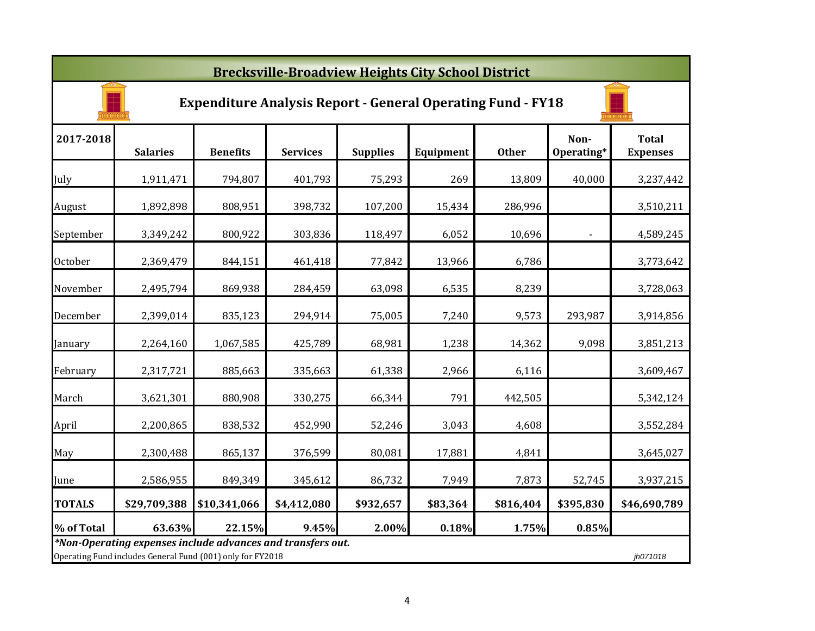| <b>Brecksville-Broadview Heights City School District</b> |                                                                                                                                       |                 |                 |                 |           |              |                          |                                 |  |
|-----------------------------------------------------------|---------------------------------------------------------------------------------------------------------------------------------------|-----------------|-----------------|-----------------|-----------|--------------|--------------------------|---------------------------------|--|
|                                                           | <b>Expenditure Analysis Report - General Operating Fund - FY18</b>                                                                    |                 |                 |                 |           |              |                          |                                 |  |
| 2017-2018                                                 | <b>Salaries</b>                                                                                                                       | <b>Benefits</b> | <b>Services</b> | <b>Supplies</b> | Equipment | <b>Other</b> | Non-<br>Operating*       | <b>Total</b><br><b>Expenses</b> |  |
| July                                                      | 1,911,471                                                                                                                             | 794,807         | 401,793         | 75,293          | 269       | 13,809       | 40,000                   | 3,237,442                       |  |
| August                                                    | 1,892,898                                                                                                                             | 808,951         | 398,732         | 107,200         | 15,434    | 286,996      |                          | 3,510,211                       |  |
| September                                                 | 3,349,242                                                                                                                             | 800,922         | 303,836         | 118,497         | 6,052     | 10,696       | $\overline{\phantom{a}}$ | 4,589,245                       |  |
| <b>October</b>                                            | 2,369,479                                                                                                                             | 844,151         | 461,418         | 77,842          | 13,966    | 6,786        |                          | 3,773,642                       |  |
| November                                                  | 2,495,794                                                                                                                             | 869,938         | 284,459         | 63,098          | 6,535     | 8,239        |                          | 3,728,063                       |  |
| December                                                  | 2,399,014                                                                                                                             | 835,123         | 294,914         | 75,005          | 7,240     | 9,573        | 293,987                  | 3,914,856                       |  |
| January                                                   | 2,264,160                                                                                                                             | 1,067,585       | 425,789         | 68,981          | 1,238     | 14,362       | 9,098                    | 3,851,213                       |  |
| February                                                  | 2,317,721                                                                                                                             | 885,663         | 335,663         | 61,338          | 2,966     | 6,116        |                          | 3,609,467                       |  |
| March                                                     | 3,621,301                                                                                                                             | 880,908         | 330,275         | 66,344          | 791       | 442,505      |                          | 5,342,124                       |  |
| April                                                     | 2,200,865                                                                                                                             | 838,532         | 452,990         | 52,246          | 3,043     | 4,608        |                          | 3,552,284                       |  |
| May                                                       | 2,300,488                                                                                                                             | 865,137         | 376,599         | 80,081          | 17,881    | 4,841        |                          | 3,645,027                       |  |
| June                                                      | 2,586,955                                                                                                                             | 849,349         | 345,612         | 86,732          | 7,949     | 7,873        | 52,745                   | 3,937,215                       |  |
| <b>TOTALS</b>                                             | \$29,709,388                                                                                                                          | \$10,341,066    | \$4,412,080     | \$932,657       | \$83,364  | \$816,404    | \$395,830                | \$46,690,789                    |  |
| % of Total                                                | 63.63%                                                                                                                                | 22.15%          | 9.45%           | 2.00%           | 0.18%     | 1.75%        | 0.85%                    |                                 |  |
|                                                           | *Non-Operating expenses include advances and transfers out.<br>Operating Fund includes General Fund (001) only for FY2018<br>jh071018 |                 |                 |                 |           |              |                          |                                 |  |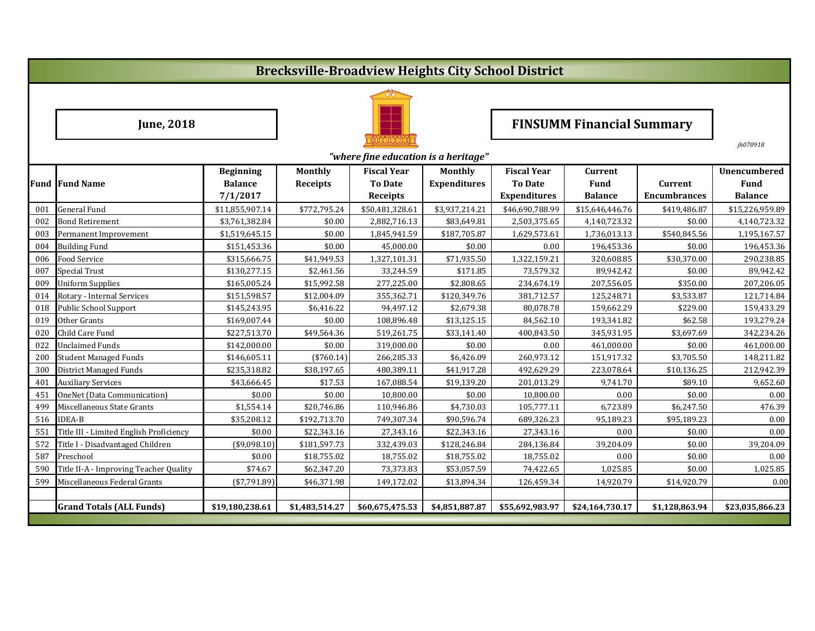# **Brecksville-Broadview Heights City School District**



# **June, 2018 FINSUMM Financial Summary**

|     | "where fine education is a heritage"    |                                                |                                   |                                                         |                                       |                                                             |                                                 |                                       |                                                      |  |
|-----|-----------------------------------------|------------------------------------------------|-----------------------------------|---------------------------------------------------------|---------------------------------------|-------------------------------------------------------------|-------------------------------------------------|---------------------------------------|------------------------------------------------------|--|
|     | <b>Fund Fund Name</b>                   | <b>Beginning</b><br><b>Balance</b><br>7/1/2017 | <b>Monthly</b><br><b>Receipts</b> | <b>Fiscal Year</b><br><b>To Date</b><br><b>Receipts</b> | <b>Monthly</b><br><b>Expenditures</b> | <b>Fiscal Year</b><br><b>To Date</b><br><b>Expenditures</b> | <b>Current</b><br><b>Fund</b><br><b>Balance</b> | <b>Current</b><br><b>Encumbrances</b> | <b>Unencumbered</b><br><b>Fund</b><br><b>Balance</b> |  |
| 001 | <b>General Fund</b>                     | \$11,855,907.14                                | \$772,795.24                      | \$50,481,328.61                                         | \$3,937,214.21                        | \$46,690,788.99                                             | \$15,646,446.76                                 | \$419,486.87                          | \$15,226,959.89                                      |  |
| 002 | <b>Bond Retirement</b>                  | \$3,761,382.84                                 | \$0.00                            | 2,882,716.13                                            | \$83,649.81                           | 2,503,375.65                                                | 4,140,723.32                                    | \$0.00                                | 4,140,723.32                                         |  |
| 003 | Permanent Improvement                   | \$1,519,645.15                                 | \$0.00                            | 1,845,941.59                                            | \$187,705.87                          | 1,629,573.61                                                | 1,736,013.13                                    | \$540,845.56                          | 1,195,167.57                                         |  |
| 004 | <b>Building Fund</b>                    | \$151,453.36                                   | \$0.00                            | 45,000.00                                               | \$0.00                                | 0.00                                                        | 196,453.36                                      | \$0.00                                | 196,453.36                                           |  |
| 006 | <b>Food Service</b>                     | \$315,666.75                                   | \$41,949.53                       | 1,327,101.31                                            | \$71,935.50                           | 1,322,159.21                                                | 320,608.85                                      | \$30,370.00                           | 290,238.85                                           |  |
| 007 | <b>Special Trust</b>                    | \$130,277.15                                   | \$2,461.56                        | 33,244.59                                               | \$171.85                              | 73,579.32                                                   | 89,942.42                                       | \$0.00                                | 89,942.42                                            |  |
| 009 | <b>Uniform Supplies</b>                 | \$165,005.24                                   | \$15,992.58                       | 277,225.00                                              | \$2,808.65                            | 234,674.19                                                  | 207,556.05                                      | \$350.00                              | 207,206.05                                           |  |
| 014 | Rotary - Internal Services              | \$151,598.57                                   | \$12,004.09                       | 355,362.71                                              | \$120,349.76                          | 381,712.57                                                  | 125,248.71                                      | \$3,533.87                            | 121,714.84                                           |  |
| 018 | <b>Public School Support</b>            | \$145,243.95                                   | \$6,416.22                        | 94,497.12                                               | \$2,679.38                            | 80,078.78                                                   | 159,662.29                                      | \$229.00                              | 159,433.29                                           |  |
| 019 | Other Grants                            | \$169,007.44                                   | \$0.00                            | 108,896.48                                              | \$13,125.15                           | 84,562.10                                                   | 193,341.82                                      | \$62.58                               | 193,279.24                                           |  |
| 020 | Child Care Fund                         | \$227,513.70                                   | \$49,564.36                       | 519,261.75                                              | \$33,141.40                           | 400,843.50                                                  | 345,931.95                                      | \$3,697.69                            | 342,234.26                                           |  |
| 022 | <b>Unclaimed Funds</b>                  | \$142,000.00                                   | \$0.00                            | 319,000.00                                              | \$0.00                                | 0.00                                                        | 461,000.00                                      | \$0.00                                | 461,000.00                                           |  |
| 200 | <b>Student Managed Funds</b>            | \$146,605.11                                   | $(*760.14)$                       | 266,285.33                                              | \$6,426.09                            | 260,973.12                                                  | 151,917.32                                      | \$3,705.50                            | 148,211.82                                           |  |
| 300 | <b>District Managed Funds</b>           | \$235,318.82                                   | \$38,197.65                       | 480,389.11                                              | \$41,917.28                           | 492,629.29                                                  | 223,078.64                                      | \$10,136.25                           | 212,942.39                                           |  |
| 401 | <b>Auxiliary Services</b>               | \$43,666.45                                    | \$17.53                           | 167,088.54                                              | \$19,139.20                           | 201,013.29                                                  | 9,741.70                                        | \$89.10                               | 9,652.60                                             |  |
| 451 | OneNet (Data Communication)             | \$0.00                                         | \$0.00                            | 10,800.00                                               | \$0.00                                | 10,800.00                                                   | 0.00                                            | \$0.00                                | 0.00                                                 |  |
| 499 | Miscellaneous State Grants              | \$1,554.14                                     | \$20,746.86                       | 110,946.86                                              | \$4,730.03                            | 105,777.11                                                  | 6,723.89                                        | \$6,247.50                            | 476.39                                               |  |
| 516 | <b>IDEA-B</b>                           | \$35,208.12                                    | \$192,713.70                      | 749,307.34                                              | \$90,596.74                           | 689,326.23                                                  | 95,189.23                                       | \$95,189.23                           | 0.00                                                 |  |
| 551 | Title III - Limited English Proficiency | \$0.00                                         | \$22,343.16                       | 27,343.16                                               | \$22,343.16                           | 27,343.16                                                   | 0.00                                            | \$0.00                                | 0.00                                                 |  |
| 572 | Title I - Disadvantaged Children        | ( \$9,098.10)                                  | \$181,597.73                      | 332,439.03                                              | \$128,246.84                          | 284,136.84                                                  | 39,204.09                                       | \$0.00                                | 39,204.09                                            |  |
| 587 | Preschool                               | \$0.00                                         | \$18,755.02                       | 18,755.02                                               | \$18,755.02                           | 18,755.02                                                   | 0.00                                            | \$0.00                                | 0.00                                                 |  |
| 590 | Title II-A - Improving Teacher Quality  | \$74.67                                        | \$62,347.20                       | 73,373.83                                               | \$53,057.59                           | 74,422.65                                                   | 1,025.85                                        | \$0.00                                | 1,025.85                                             |  |
| 599 | Miscellaneous Federal Grants            | (\$7,791.89)                                   | \$46,371.98                       | 149,172.02                                              | \$13,894.34                           | 126,459.34                                                  | 14,920.79                                       | \$14,920.79                           | 0.00                                                 |  |
|     |                                         |                                                |                                   |                                                         |                                       |                                                             |                                                 |                                       |                                                      |  |
|     | <b>Grand Totals (ALL Funds)</b>         | \$19,180,238.61                                | \$1,483,514.27                    | \$60,675,475.53                                         | \$4,851,887.87                        | \$55,692,983.97                                             | \$24,164,730.17                                 | \$1,128,863.94                        | \$23,035,866.23                                      |  |

*jh070918*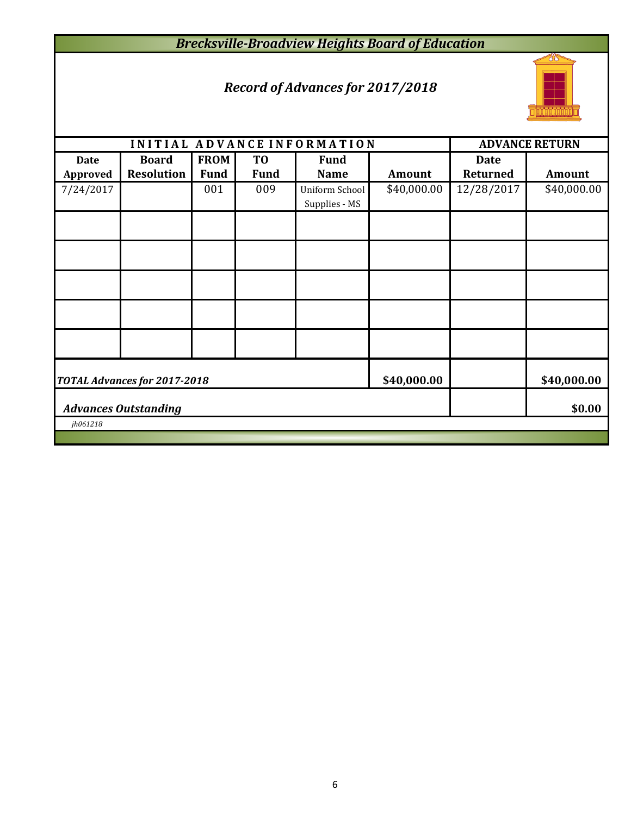## *Brecksville-Broadview Heights Board of Education*

## *Record of Advances for 2017/2018*



|                                       |                                   |                            |                               | INITIAL ADVANCE INFORMATION     |             |                                | <b>ADVANCE RETURN</b> |
|---------------------------------------|-----------------------------------|----------------------------|-------------------------------|---------------------------------|-------------|--------------------------------|-----------------------|
| <b>Date</b><br><b>Approved</b>        | <b>Board</b><br><b>Resolution</b> | <b>FROM</b><br><b>Fund</b> | T <sub>0</sub><br><b>Fund</b> | <b>Fund</b><br><b>Name</b>      | Amount      | <b>Date</b><br><b>Returned</b> | <b>Amount</b>         |
| 7/24/2017                             |                                   | 001                        | 009                           | Uniform School<br>Supplies - MS | \$40,000.00 | 12/28/2017                     | \$40,000.00           |
|                                       |                                   |                            |                               |                                 |             |                                |                       |
|                                       |                                   |                            |                               |                                 |             |                                |                       |
|                                       |                                   |                            |                               |                                 |             |                                |                       |
|                                       |                                   |                            |                               |                                 |             |                                |                       |
|                                       |                                   |                            |                               |                                 |             |                                |                       |
|                                       | TOTAL Advances for 2017-2018      | \$40,000.00                |                               | \$40,000.00                     |             |                                |                       |
| \$0.00<br><b>Advances Outstanding</b> |                                   |                            |                               |                                 |             |                                |                       |
| jh061218                              |                                   |                            |                               |                                 |             |                                |                       |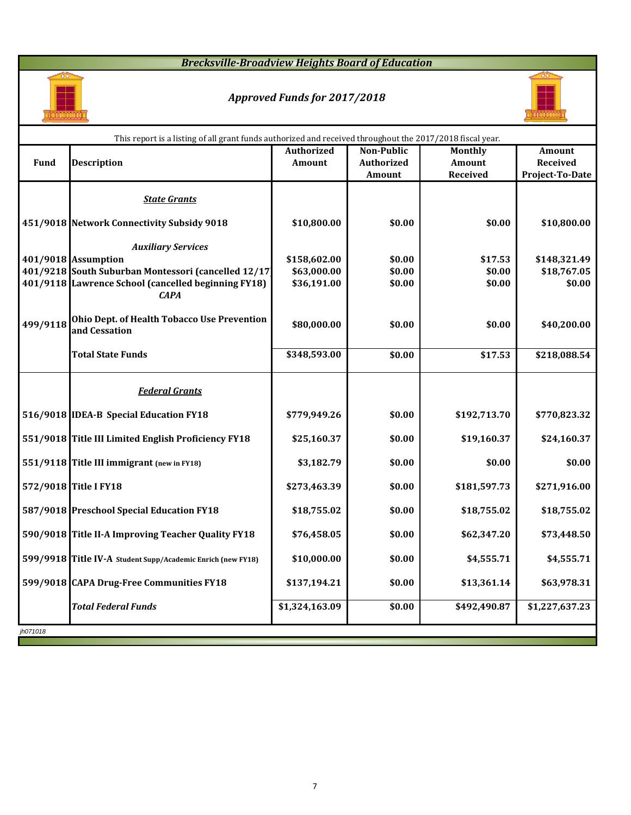## *Brecksville-Broadview Heights Board of Education*



# *Approved Funds for 2017/2018*



n l

| <b>Non-Public</b><br><b>Authorized</b><br><b>Monthly</b><br><b>Amount</b><br><b>Fund</b><br><b>Description</b><br><b>Authorized</b><br>Amount<br><b>Received</b><br><b>Amount</b><br><b>Received</b><br><b>Project-To-Date</b><br><b>Amount</b><br><b>State Grants</b><br>451/9018 Network Connectivity Subsidy 9018<br>\$0.00<br>\$10,800.00<br>\$0.00<br>\$10,800.00<br><b>Auxiliary Services</b><br>\$158,602.00<br>401/9018 Assumption<br>\$0.00<br>\$17.53<br>\$148,321.49<br>401/9218 South Suburban Montessori (cancelled 12/17)<br>\$63,000.00<br>\$0.00<br>\$0.00<br>\$18,767.05<br>401/9118 Lawrence School (cancelled beginning FY18)<br>\$36,191.00<br>\$0.00<br>\$0.00<br>\$0.00<br><b>CAPA</b><br><b>Ohio Dept. of Health Tobacco Use Prevention</b><br>\$80,000.00<br>\$0.00<br>\$0.00<br>\$40,200.00<br>and Cessation<br><b>Total State Funds</b><br>\$348,593.00<br>\$17.53<br>\$218,088.54<br>\$0.00<br><b>Federal Grants</b><br>516/9018 IDEA-B Special Education FY18<br>\$0.00<br>\$779,949.26<br>\$192,713.70<br>\$770,823.32<br>551/9018 Title III Limited English Proficiency FY18<br>\$25,160.37<br>\$0.00<br>\$19,160.37<br>\$24,160.37<br>551/9118 Title III immigrant (new in FY18)<br>\$3,182.79<br>\$0.00<br>\$0.00<br>\$0.00<br>\$0.00<br>572/9018 Title I FY18<br>\$273,463.39<br>\$181,597.73<br>\$271,916.00<br>587/9018 Preschool Special Education FY18<br>\$18,755.02<br>\$18,755.02<br>\$0.00<br>\$18,755.02<br>590/9018 Title II-A Improving Teacher Quality FY18<br>\$76,458.05<br>\$0.00<br>\$62,347.20<br>\$73,448.50<br>\$4,555.71<br>\$10,000.00<br>\$0.00<br>\$4,555.71<br>599/9918 Title IV-A Student Supp/Academic Enrich (new FY18)<br>599/9018 CAPA Drug-Free Communities FY18<br>\$13,361.14<br>\$137,194.21<br>\$0.00<br>\$63,978.31<br><b>Total Federal Funds</b><br>\$1,324,163.09<br>\$0.00<br>\$492,490.87<br>\$1,227,637.23 |          | This report is a listing of all grant funds authorized and received throughout the 2017/2018 fiscal year. |  |  |
|-------------------------------------------------------------------------------------------------------------------------------------------------------------------------------------------------------------------------------------------------------------------------------------------------------------------------------------------------------------------------------------------------------------------------------------------------------------------------------------------------------------------------------------------------------------------------------------------------------------------------------------------------------------------------------------------------------------------------------------------------------------------------------------------------------------------------------------------------------------------------------------------------------------------------------------------------------------------------------------------------------------------------------------------------------------------------------------------------------------------------------------------------------------------------------------------------------------------------------------------------------------------------------------------------------------------------------------------------------------------------------------------------------------------------------------------------------------------------------------------------------------------------------------------------------------------------------------------------------------------------------------------------------------------------------------------------------------------------------------------------------------------------------------------------------------------------------------------------------------------------------------|----------|-----------------------------------------------------------------------------------------------------------|--|--|
|                                                                                                                                                                                                                                                                                                                                                                                                                                                                                                                                                                                                                                                                                                                                                                                                                                                                                                                                                                                                                                                                                                                                                                                                                                                                                                                                                                                                                                                                                                                                                                                                                                                                                                                                                                                                                                                                                     |          |                                                                                                           |  |  |
|                                                                                                                                                                                                                                                                                                                                                                                                                                                                                                                                                                                                                                                                                                                                                                                                                                                                                                                                                                                                                                                                                                                                                                                                                                                                                                                                                                                                                                                                                                                                                                                                                                                                                                                                                                                                                                                                                     |          |                                                                                                           |  |  |
|                                                                                                                                                                                                                                                                                                                                                                                                                                                                                                                                                                                                                                                                                                                                                                                                                                                                                                                                                                                                                                                                                                                                                                                                                                                                                                                                                                                                                                                                                                                                                                                                                                                                                                                                                                                                                                                                                     |          |                                                                                                           |  |  |
|                                                                                                                                                                                                                                                                                                                                                                                                                                                                                                                                                                                                                                                                                                                                                                                                                                                                                                                                                                                                                                                                                                                                                                                                                                                                                                                                                                                                                                                                                                                                                                                                                                                                                                                                                                                                                                                                                     |          |                                                                                                           |  |  |
|                                                                                                                                                                                                                                                                                                                                                                                                                                                                                                                                                                                                                                                                                                                                                                                                                                                                                                                                                                                                                                                                                                                                                                                                                                                                                                                                                                                                                                                                                                                                                                                                                                                                                                                                                                                                                                                                                     |          |                                                                                                           |  |  |
|                                                                                                                                                                                                                                                                                                                                                                                                                                                                                                                                                                                                                                                                                                                                                                                                                                                                                                                                                                                                                                                                                                                                                                                                                                                                                                                                                                                                                                                                                                                                                                                                                                                                                                                                                                                                                                                                                     |          |                                                                                                           |  |  |
|                                                                                                                                                                                                                                                                                                                                                                                                                                                                                                                                                                                                                                                                                                                                                                                                                                                                                                                                                                                                                                                                                                                                                                                                                                                                                                                                                                                                                                                                                                                                                                                                                                                                                                                                                                                                                                                                                     |          |                                                                                                           |  |  |
|                                                                                                                                                                                                                                                                                                                                                                                                                                                                                                                                                                                                                                                                                                                                                                                                                                                                                                                                                                                                                                                                                                                                                                                                                                                                                                                                                                                                                                                                                                                                                                                                                                                                                                                                                                                                                                                                                     |          |                                                                                                           |  |  |
|                                                                                                                                                                                                                                                                                                                                                                                                                                                                                                                                                                                                                                                                                                                                                                                                                                                                                                                                                                                                                                                                                                                                                                                                                                                                                                                                                                                                                                                                                                                                                                                                                                                                                                                                                                                                                                                                                     |          |                                                                                                           |  |  |
|                                                                                                                                                                                                                                                                                                                                                                                                                                                                                                                                                                                                                                                                                                                                                                                                                                                                                                                                                                                                                                                                                                                                                                                                                                                                                                                                                                                                                                                                                                                                                                                                                                                                                                                                                                                                                                                                                     | 499/9118 |                                                                                                           |  |  |
|                                                                                                                                                                                                                                                                                                                                                                                                                                                                                                                                                                                                                                                                                                                                                                                                                                                                                                                                                                                                                                                                                                                                                                                                                                                                                                                                                                                                                                                                                                                                                                                                                                                                                                                                                                                                                                                                                     |          |                                                                                                           |  |  |
|                                                                                                                                                                                                                                                                                                                                                                                                                                                                                                                                                                                                                                                                                                                                                                                                                                                                                                                                                                                                                                                                                                                                                                                                                                                                                                                                                                                                                                                                                                                                                                                                                                                                                                                                                                                                                                                                                     |          |                                                                                                           |  |  |
|                                                                                                                                                                                                                                                                                                                                                                                                                                                                                                                                                                                                                                                                                                                                                                                                                                                                                                                                                                                                                                                                                                                                                                                                                                                                                                                                                                                                                                                                                                                                                                                                                                                                                                                                                                                                                                                                                     |          |                                                                                                           |  |  |
|                                                                                                                                                                                                                                                                                                                                                                                                                                                                                                                                                                                                                                                                                                                                                                                                                                                                                                                                                                                                                                                                                                                                                                                                                                                                                                                                                                                                                                                                                                                                                                                                                                                                                                                                                                                                                                                                                     |          |                                                                                                           |  |  |
|                                                                                                                                                                                                                                                                                                                                                                                                                                                                                                                                                                                                                                                                                                                                                                                                                                                                                                                                                                                                                                                                                                                                                                                                                                                                                                                                                                                                                                                                                                                                                                                                                                                                                                                                                                                                                                                                                     |          |                                                                                                           |  |  |
|                                                                                                                                                                                                                                                                                                                                                                                                                                                                                                                                                                                                                                                                                                                                                                                                                                                                                                                                                                                                                                                                                                                                                                                                                                                                                                                                                                                                                                                                                                                                                                                                                                                                                                                                                                                                                                                                                     |          |                                                                                                           |  |  |
|                                                                                                                                                                                                                                                                                                                                                                                                                                                                                                                                                                                                                                                                                                                                                                                                                                                                                                                                                                                                                                                                                                                                                                                                                                                                                                                                                                                                                                                                                                                                                                                                                                                                                                                                                                                                                                                                                     |          |                                                                                                           |  |  |
|                                                                                                                                                                                                                                                                                                                                                                                                                                                                                                                                                                                                                                                                                                                                                                                                                                                                                                                                                                                                                                                                                                                                                                                                                                                                                                                                                                                                                                                                                                                                                                                                                                                                                                                                                                                                                                                                                     |          |                                                                                                           |  |  |
|                                                                                                                                                                                                                                                                                                                                                                                                                                                                                                                                                                                                                                                                                                                                                                                                                                                                                                                                                                                                                                                                                                                                                                                                                                                                                                                                                                                                                                                                                                                                                                                                                                                                                                                                                                                                                                                                                     |          |                                                                                                           |  |  |
|                                                                                                                                                                                                                                                                                                                                                                                                                                                                                                                                                                                                                                                                                                                                                                                                                                                                                                                                                                                                                                                                                                                                                                                                                                                                                                                                                                                                                                                                                                                                                                                                                                                                                                                                                                                                                                                                                     |          |                                                                                                           |  |  |
|                                                                                                                                                                                                                                                                                                                                                                                                                                                                                                                                                                                                                                                                                                                                                                                                                                                                                                                                                                                                                                                                                                                                                                                                                                                                                                                                                                                                                                                                                                                                                                                                                                                                                                                                                                                                                                                                                     |          |                                                                                                           |  |  |
|                                                                                                                                                                                                                                                                                                                                                                                                                                                                                                                                                                                                                                                                                                                                                                                                                                                                                                                                                                                                                                                                                                                                                                                                                                                                                                                                                                                                                                                                                                                                                                                                                                                                                                                                                                                                                                                                                     | jh071018 |                                                                                                           |  |  |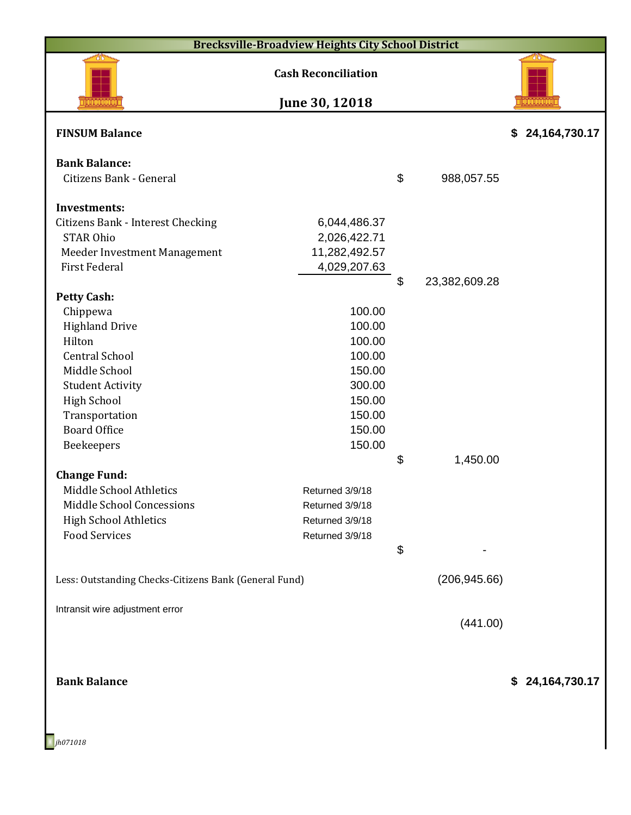| <b>Brecksville-Broadview Heights City School District</b> |                                              |                           |               |                 |  |  |  |
|-----------------------------------------------------------|----------------------------------------------|---------------------------|---------------|-----------------|--|--|--|
|                                                           | <b>Cash Reconciliation</b><br>June 30, 12018 |                           |               |                 |  |  |  |
|                                                           |                                              |                           |               |                 |  |  |  |
| <b>FINSUM Balance</b>                                     |                                              |                           |               | \$24,164,730.17 |  |  |  |
| <b>Bank Balance:</b>                                      |                                              |                           |               |                 |  |  |  |
| Citizens Bank - General                                   |                                              | $\boldsymbol{\mathsf{S}}$ | 988,057.55    |                 |  |  |  |
|                                                           |                                              |                           |               |                 |  |  |  |
| <b>Investments:</b>                                       |                                              |                           |               |                 |  |  |  |
| Citizens Bank - Interest Checking                         | 6,044,486.37                                 |                           |               |                 |  |  |  |
| <b>STAR Ohio</b>                                          | 2,026,422.71                                 |                           |               |                 |  |  |  |
| Meeder Investment Management                              | 11,282,492.57                                |                           |               |                 |  |  |  |
| <b>First Federal</b>                                      | 4,029,207.63                                 |                           |               |                 |  |  |  |
|                                                           |                                              | \$                        | 23,382,609.28 |                 |  |  |  |
| <b>Petty Cash:</b>                                        |                                              |                           |               |                 |  |  |  |
| Chippewa                                                  | 100.00<br>100.00                             |                           |               |                 |  |  |  |
| <b>Highland Drive</b><br>Hilton                           | 100.00                                       |                           |               |                 |  |  |  |
| <b>Central School</b>                                     | 100.00                                       |                           |               |                 |  |  |  |
| Middle School                                             | 150.00                                       |                           |               |                 |  |  |  |
| <b>Student Activity</b>                                   | 300.00                                       |                           |               |                 |  |  |  |
| <b>High School</b>                                        | 150.00                                       |                           |               |                 |  |  |  |
| Transportation                                            | 150.00                                       |                           |               |                 |  |  |  |
| <b>Board Office</b>                                       | 150.00                                       |                           |               |                 |  |  |  |
| Beekeepers                                                | 150.00                                       |                           |               |                 |  |  |  |
|                                                           |                                              | \$                        | 1,450.00      |                 |  |  |  |
| <b>Change Fund:</b>                                       |                                              |                           |               |                 |  |  |  |
| Middle School Athletics                                   | Returned 3/9/18                              |                           |               |                 |  |  |  |
| Middle School Concessions                                 | Returned 3/9/18                              |                           |               |                 |  |  |  |
| <b>High School Athletics</b>                              | Returned 3/9/18                              |                           |               |                 |  |  |  |
| <b>Food Services</b>                                      | Returned 3/9/18                              |                           |               |                 |  |  |  |
|                                                           |                                              | \$                        |               |                 |  |  |  |
| Less: Outstanding Checks-Citizens Bank (General Fund)     |                                              |                           | (206, 945.66) |                 |  |  |  |
|                                                           |                                              |                           |               |                 |  |  |  |
| Intransit wire adjustment error                           |                                              |                           |               |                 |  |  |  |
|                                                           |                                              |                           | (441.00)      |                 |  |  |  |
|                                                           |                                              |                           |               |                 |  |  |  |
|                                                           |                                              |                           |               |                 |  |  |  |
| <b>Bank Balance</b>                                       |                                              |                           |               | \$24,164,730.17 |  |  |  |
|                                                           |                                              |                           |               |                 |  |  |  |
|                                                           |                                              |                           |               |                 |  |  |  |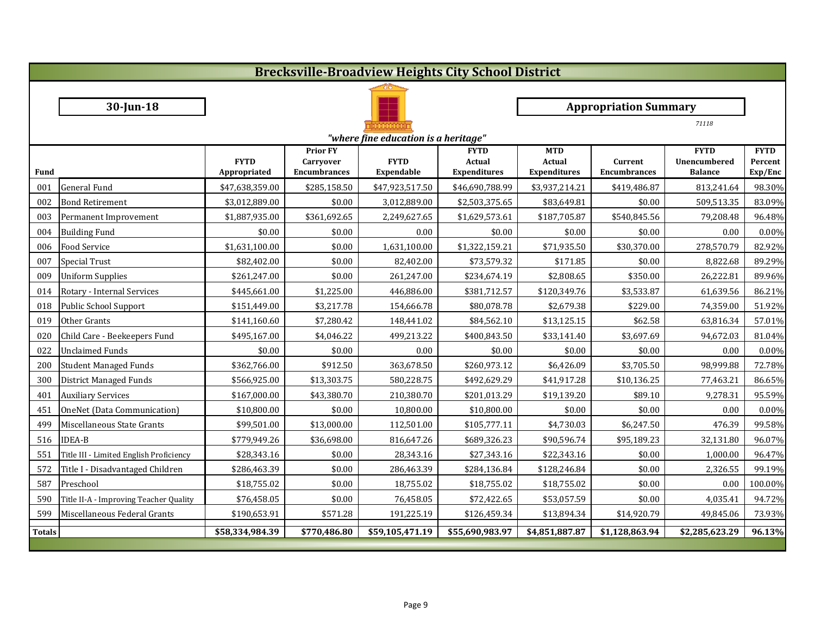| <b>Brecksville-Broadview Heights City School District</b> |                                         |                             |                                                            |                           |                                              |                                                    |                                |                                               |                                   |  |
|-----------------------------------------------------------|-----------------------------------------|-----------------------------|------------------------------------------------------------|---------------------------|----------------------------------------------|----------------------------------------------------|--------------------------------|-----------------------------------------------|-----------------------------------|--|
|                                                           |                                         |                             |                                                            |                           |                                              |                                                    |                                |                                               |                                   |  |
|                                                           | $30$ -Jun-18                            |                             |                                                            |                           |                                              |                                                    | <b>Appropriation Summary</b>   |                                               |                                   |  |
|                                                           |                                         |                             |                                                            |                           |                                              |                                                    |                                | 71118                                         |                                   |  |
|                                                           | "where fine education is a heritage"    |                             |                                                            |                           |                                              |                                                    |                                |                                               |                                   |  |
| <b>Fund</b>                                               |                                         | <b>FYTD</b><br>Appropriated | <b>Prior FY</b><br><b>Carryover</b><br><b>Encumbrances</b> | <b>FYTD</b><br>Expendable | <b>FYTD</b><br>Actual<br><b>Expenditures</b> | <b>MTD</b><br><b>Actual</b><br><b>Expenditures</b> | Current<br><b>Encumbrances</b> | <b>FYTD</b><br>Unencumbered<br><b>Balance</b> | <b>FYTD</b><br>Percent<br>Exp/Enc |  |
| 001                                                       | General Fund                            | \$47,638,359.00             | \$285,158.50                                               | \$47,923,517.50           | \$46,690,788.99                              | \$3,937,214.21                                     | \$419,486.87                   | 813,241.64                                    | 98.30%                            |  |
| 002                                                       | <b>Bond Retirement</b>                  | \$3,012,889.00              | \$0.00                                                     | 3,012,889.00              | \$2,503,375.65                               | \$83,649.81                                        | \$0.00                         | 509,513.35                                    | 83.09%                            |  |
| 003                                                       | Permanent Improvement                   | \$1,887,935.00              | \$361,692.65                                               | 2,249,627.65              | \$1,629,573.61                               | \$187,705.87                                       | \$540,845.56                   | 79,208.48                                     | 96.48%                            |  |
| 004                                                       | <b>Building Fund</b>                    | \$0.00                      | \$0.00                                                     | 0.00                      | \$0.00                                       | \$0.00                                             | \$0.00                         | 0.00                                          | $0.00\%$                          |  |
| 006                                                       | <b>Food Service</b>                     | \$1,631,100.00              | \$0.00                                                     | 1,631,100.00              | \$1,322,159.21                               | \$71,935.50                                        | \$30,370.00                    | 278,570.79                                    | 82.92%                            |  |
| 007                                                       | Special Trust                           | \$82,402.00                 | \$0.00                                                     | 82,402.00                 | \$73,579.32                                  | \$171.85                                           | \$0.00                         | 8,822.68                                      | 89.29%                            |  |
| 009                                                       | <b>Uniform Supplies</b>                 | \$261,247.00                | \$0.00                                                     | 261,247.00                | \$234,674.19                                 | \$2,808.65                                         | \$350.00                       | 26,222.81                                     | 89.96%                            |  |
| 014                                                       | Rotary - Internal Services              | \$445,661.00                | \$1,225.00                                                 | 446,886.00                | \$381,712.57                                 | \$120,349.76                                       | \$3,533.87                     | 61,639.56                                     | 86.21%                            |  |
| 018                                                       | Public School Support                   | \$151,449.00                | \$3,217.78                                                 | 154,666.78                | \$80,078.78                                  | \$2,679.38                                         | \$229.00                       | 74,359.00                                     | 51.92%                            |  |
| 019                                                       | Other Grants                            | \$141,160.60                | \$7,280.42                                                 | 148,441.02                | \$84,562.10                                  | \$13,125.15                                        | \$62.58                        | 63,816.34                                     | 57.01%                            |  |
| 020                                                       | Child Care - Beekeepers Fund            | \$495,167.00                | \$4,046.22                                                 | 499,213.22                | \$400,843.50                                 | \$33,141.40                                        | \$3,697.69                     | 94,672.03                                     | 81.04%                            |  |
| 022                                                       | <b>Unclaimed Funds</b>                  | \$0.00                      | \$0.00                                                     | 0.00                      | \$0.00                                       | \$0.00                                             | \$0.00                         | 0.00                                          | $0.00\%$                          |  |
| 200                                                       | <b>Student Managed Funds</b>            | \$362,766.00                | \$912.50                                                   | 363,678.50                | \$260,973.12                                 | \$6,426.09                                         | \$3,705.50                     | 98,999.88                                     | 72.78%                            |  |
| 300                                                       | District Managed Funds                  | \$566,925.00                | \$13,303.75                                                | 580,228.75                | \$492,629.29                                 | \$41,917.28                                        | \$10,136.25                    | 77,463.21                                     | 86.65%                            |  |
| 401                                                       | <b>Auxiliary Services</b>               | \$167,000.00                | \$43,380.70                                                | 210,380.70                | \$201,013.29                                 | \$19,139.20                                        | \$89.10                        | 9,278.31                                      | 95.59%                            |  |
| 451                                                       | OneNet (Data Communication)             | \$10,800.00                 | \$0.00                                                     | 10,800.00                 | \$10,800.00                                  | \$0.00                                             | \$0.00                         | 0.00                                          | $0.00\%$                          |  |
| 499                                                       | Miscellaneous State Grants              | \$99,501.00                 | \$13,000.00                                                | 112,501.00                | \$105,777.11                                 | \$4,730.03                                         | \$6,247.50                     | 476.39                                        | 99.58%                            |  |
|                                                           | 516 IDEA-B                              | \$779,949.26                | \$36,698.00                                                | 816,647.26                | \$689,326.23                                 | \$90,596.74                                        | \$95,189.23                    | 32,131.80                                     | 96.07%                            |  |
| 551                                                       | Title III - Limited English Proficiency | \$28,343.16                 | \$0.00                                                     | 28,343.16                 | \$27,343.16                                  | \$22,343.16                                        | \$0.00                         | 1,000.00                                      | 96.47%                            |  |
| 572                                                       | Title I - Disadvantaged Children        | \$286,463.39                | \$0.00                                                     | 286,463.39                | \$284,136.84                                 | \$128,246.84                                       | \$0.00                         | 2,326.55                                      | 99.19%                            |  |
| 587                                                       | Preschool                               | \$18,755.02                 | \$0.00                                                     | 18,755.02                 | \$18,755.02                                  | \$18,755.02                                        | \$0.00                         | 0.00                                          | 100.00%                           |  |
| 590                                                       | Title II-A - Improving Teacher Quality  | \$76,458.05                 | \$0.00                                                     | 76,458.05                 | \$72,422.65                                  | \$53,057.59                                        | \$0.00                         | 4,035.41                                      | 94.72%                            |  |
| 599                                                       | Miscellaneous Federal Grants            | \$190,653.91                | \$571.28                                                   | 191,225.19                | \$126,459.34                                 | \$13,894.34                                        | \$14,920.79                    | 49,845.06                                     | 73.93%                            |  |
| <b>Totals</b>                                             |                                         | \$58,334,984.39             | \$770,486.80                                               | \$59,105,471.19           | \$55,690,983.97                              | \$4,851,887.87                                     | \$1,128,863.94                 | \$2,285,623.29                                | 96.13%                            |  |